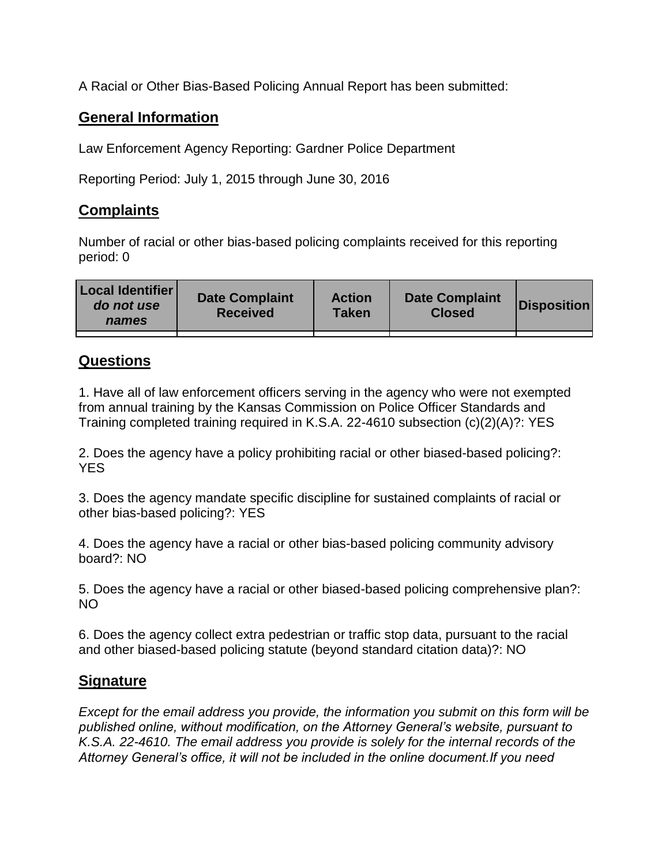A Racial or Other Bias-Based Policing Annual Report has been submitted:

## **General Information**

Law Enforcement Agency Reporting: Gardner Police Department

Reporting Period: July 1, 2015 through June 30, 2016

## **Complaints**

Number of racial or other bias-based policing complaints received for this reporting period: 0

| <b>Local Identifier</b><br>do not use<br>names | <b>Date Complaint</b><br><b>Received</b> | <b>Action</b><br><b>Taken</b> | <b>Date Complaint</b><br><b>Closed</b> | Disposition |
|------------------------------------------------|------------------------------------------|-------------------------------|----------------------------------------|-------------|
|                                                |                                          |                               |                                        |             |

## **Questions**

1. Have all of law enforcement officers serving in the agency who were not exempted from annual training by the Kansas Commission on Police Officer Standards and Training completed training required in K.S.A. 22-4610 subsection (c)(2)(A)?: YES

2. Does the agency have a policy prohibiting racial or other biased-based policing?: YES

3. Does the agency mandate specific discipline for sustained complaints of racial or other bias-based policing?: YES

4. Does the agency have a racial or other bias-based policing community advisory board?: NO

5. Does the agency have a racial or other biased-based policing comprehensive plan?: NO

6. Does the agency collect extra pedestrian or traffic stop data, pursuant to the racial and other biased-based policing statute (beyond standard citation data)?: NO

## **Signature**

*Except for the email address you provide, the information you submit on this form will be published online, without modification, on the Attorney General's website, pursuant to K.S.A. 22-4610. The email address you provide is solely for the internal records of the Attorney General's office, it will not be included in the online document.If you need*